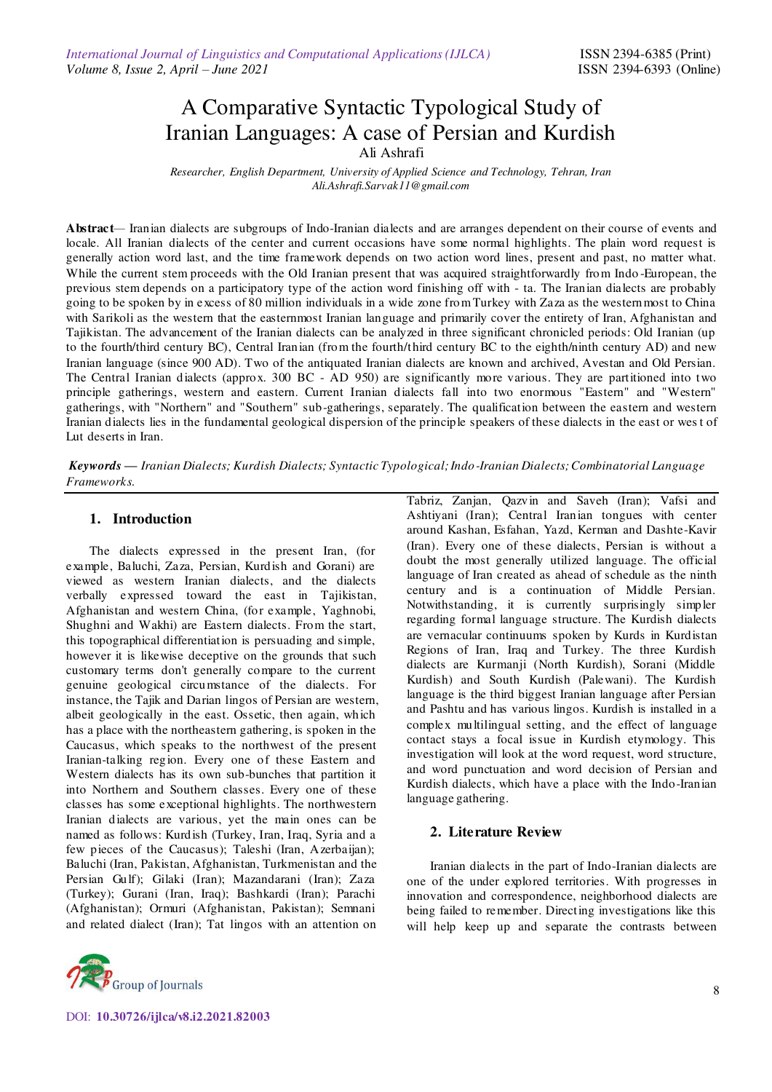# A Comparative Syntactic Typological Study of Iranian Languages: A case of Persian and Kurdish Ali Ashrafi

 *Researcher, English Department, University of Applied Science and Technology, Tehran, Iran Ali.Ashrafi.Sarvak11@gmail.com* 

**Abstract***—* Iranian dialects are subgroups of Indo-Iranian dialects and are arranges dependent on their course of events and locale. All Iranian dialects of the center and current occasions have some normal highlights. The plain word request is generally action word last, and the time framework depends on two action word lines, present and past, no matter what. While the current stem proceeds with the Old Iranian present that was acquired straightforwardly from Indo -European, the previous stem depends on a participatory type of the action word finishing off with - ta. The Iranian dialects are probably going to be spoken by in excess of 80 million individuals in a wide zone from Turkey with Zaza as the westernmost to China with Sarikoli as the western that the easternmost Iranian language and primarily cover the entirety of Iran, Afghanistan and Tajikistan. The advancement of the Iranian dialects can be analyzed in three significant chronicled periods: Old Iranian (up to the fourth/third century BC), Central Iranian (from the fourth/third century BC to the eighth/ninth century AD) and new Iranian language (since 900 AD). Two of the antiquated Iranian dialects are known and archived, Avestan and Old Persian. The Central Iranian dialects (approx. 300 BC - AD 950) are significantly more various. They are partitioned into two principle gatherings, western and eastern. Current Iranian dialects fall into two enormous "Eastern" and "Western" gatherings, with "Northern" and "Southern" sub-gatherings, separately. The qualification between the eastern and western Iranian dialects lies in the fundamental geological dispersion of the principle speakers of these dialects in the east or wes t of Lut deserts in Iran.

*Keywords — Iranian Dialects; Kurdish Dialects; Syntactic Typological; Indo-Iranian Dialects; Combinatorial Language Frameworks.*

## **1. Introduction**

The dialects expressed in the present Iran, (for example, Baluchi, Zaza, Persian, Kurdish and Gorani) are viewed as western Iranian dialects, and the dialects verbally expressed toward the east in Tajikistan, Afghanistan and western China, (for example, Yaghnobi, Shughni and Wakhi) are Eastern dialects. From the start, this topographical differentiation is persuading and simple, however it is likewise deceptive on the grounds that such customary terms don't generally compare to the current genuine geological circumstance of the dialects. For instance, the Tajik and Darian lingos of Persian are western, albeit geologically in the east. Ossetic, then again, which has a place with the northeastern gathering, is spoken in the Caucasus, which speaks to the northwest of the present Iranian-talking region. Every one of these Eastern and Western dialects has its own sub-bunches that partition it into Northern and Southern classes. Every one of these classes has some exceptional highlights. The northwestern Iranian dialects are various, yet the main ones can be named as follows: Kurdish (Turkey, Iran, Iraq, Syria and a few pieces of the Caucasus); Taleshi (Iran, Azerbaijan); Baluchi (Iran, Pakistan, Afghanistan, Turkmenistan and the Persian Gulf); Gilaki (Iran); Mazandarani (Iran); Zaza (Turkey); Gurani (Iran, Iraq); Bashkardi (Iran); Parachi (Afghanistan); Ormuri (Afghanistan, Pakistan); Semnani and related dialect (Iran); Tat lingos with an attention on



Tabriz, Zanjan, Qazvin and Saveh (Iran); Vafsi and Ashtiyani (Iran); Central Iranian tongues with center around Kashan, Esfahan, Yazd, Kerman and Dashte-Kavir (Iran). Every one of these dialects, Persian is without a doubt the most generally utilized language. The official language of Iran created as ahead of schedule as the ninth century and is a continuation of Middle Persian. Notwithstanding, it is currently surprisingly simpler regarding formal language structure. The Kurdish dialects are vernacular continuums spoken by Kurds in Kurdistan Regions of Iran, Iraq and Turkey. The three Kurdish dialects are Kurmanji (North Kurdish), Sorani (Middle Kurdish) and South Kurdish (Palewani). The Kurdish language is the third biggest Iranian language after Persian and Pashtu and has various lingos. Kurdish is installed in a complex multilingual setting, and the effect of language contact stays a focal issue in Kurdish etymology. This investigation will look at the word request, word structure, and word punctuation and word decision of Persian and Kurdish dialects, which have a place with the Indo-Iranian language gathering.

# **2. Literature Review**

Iranian dialects in the part of Indo-Iranian dialects are one of the under explored territories. With progresses in innovation and correspondence, neighborhood dialects are being failed to remember. Directing investigations like this will help keep up and separate the contrasts between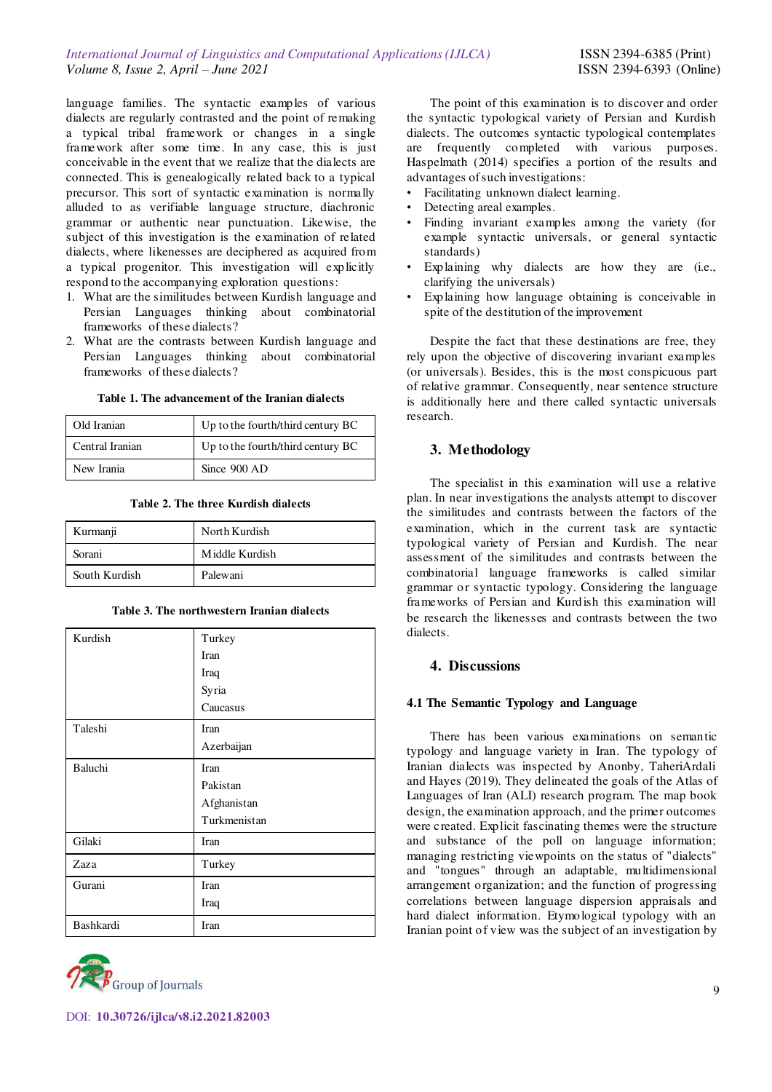language families. The syntactic examples of various dialects are regularly contrasted and the point of remaking a typical tribal framework or changes in a single framework after some time. In any case, this is just conceivable in the event that we realize that the dialects are connected. This is genealogically related back to a typical precursor. This sort of syntactic examination is normally alluded to as verifiable language structure, diachronic grammar or authentic near punctuation. Likewise, the subject of this investigation is the examination of related dialects, where likenesses are deciphered as acquired from a typical progenitor. This investigation will explicitly respond to the accompanying exploration questions:

- 1. What are the similitudes between Kurdish language and Persian Languages thinking about combinatorial frameworks of these dialects?
- 2. What are the contrasts between Kurdish language and Persian Languages thinking about combinatorial frameworks of these dialects?

| Old Iranian     | Up to the fourth/third century BC |
|-----------------|-----------------------------------|
| Central Iranian | Up to the fourth/third century BC |
| New Irania      | Since 900 AD                      |

#### **Table 2. The three Kurdish dialects**

| Kurmanji      | North Kurdish  |
|---------------|----------------|
| Sorani        | Middle Kurdish |
| South Kurdish | Palewani       |

**Table 3. The northwestern Iranian dialects** 

| Kurdish   | Turkey       |
|-----------|--------------|
|           | Iran         |
|           | Iraq         |
|           | Syria        |
|           | Caucasus     |
| Taleshi   | Iran         |
|           | Azerbaijan   |
| Baluchi   | Iran         |
|           | Pakistan     |
|           | Afghanistan  |
|           | Turkmenistan |
| Gilaki    | Iran         |
| Zaza      | Turkey       |
| Gurani    | Iran         |
|           | Iraq         |
| Bashkardi | Iran         |



The point of this examination is to discover and order the syntactic typological variety of Persian and Kurdish dialects. The outcomes syntactic typological contemplates are frequently completed with various purposes. Haspelmath (2014) specifies a portion of the results and advantages of such investigations:

- Facilitating unknown dialect learning.
- Detecting areal examples.
- Finding invariant examples among the variety (for example syntactic universals, or general syntactic standards)
- Explaining why dialects are how they are (i.e., clarifying the universals)
- Explaining how language obtaining is conceivable in spite of the destitution of the improvement

Despite the fact that these destinations are free, they rely upon the objective of discovering invariant examples (or universals). Besides, this is the most conspicuous part of relative grammar. Consequently, near sentence structure is additionally here and there called syntactic universals research.

# **3. Methodology**

The specialist in this examination will use a relative plan. In near investigations the analysts attempt to discover the similitudes and contrasts between the factors of the examination, which in the current task are syntactic typological variety of Persian and Kurdish. The near assessment of the similitudes and contrasts between the combinatorial language frameworks is called similar grammar or syntactic typology. Considering the language frameworks of Persian and Kurdish this examination will be research the likenesses and contrasts between the two dialects.

# **4. Discussions**

## **4.1 The Semantic Typology and Language**

There has been various examinations on semantic typology and language variety in Iran. The typology of Iranian dialects was inspected by Anonby, TaheriArdali and Hayes (2019). They delineated the goals of the Atlas of Languages of Iran (ALI) research program. The map book design, the examination approach, and the primer outcomes were created. Explicit fascinating themes were the structure and substance of the poll on language information; managing restricting viewpoints on the status of "dialects" and "tongues" through an adaptable, multidimensional arrangement organization; and the function of progressing correlations between language dispersion appraisals and hard dialect information. Etymological typology with an Iranian point of view was the subject of an investigation by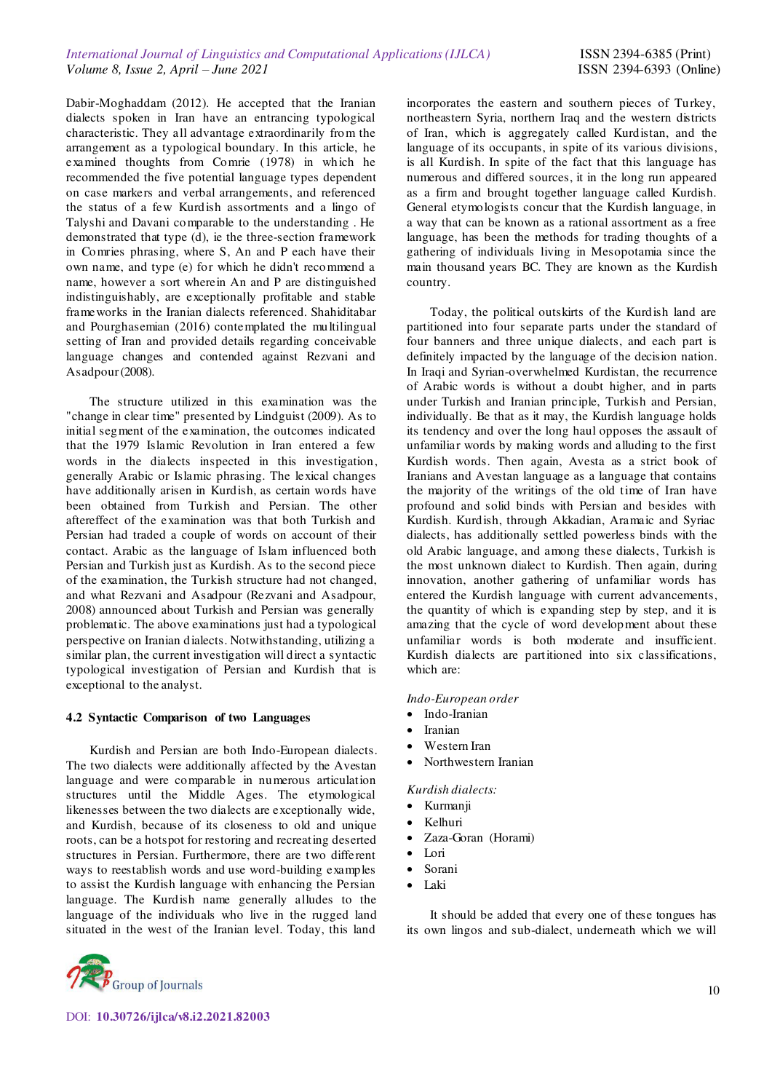Dabir-Moghaddam (2012). He accepted that the Iranian dialects spoken in Iran have an entrancing typological characteristic. They all advantage extraordinarily from the arrangement as a typological boundary. In this article, he examined thoughts from Comrie (1978) in which he recommended the five potential language types dependent on case markers and verbal arrangements, and referenced the status of a few Kurdish assortments and a lingo of Talyshi and Davani comparable to the understanding . He demonstrated that type (d), ie the three-section framework in Comries phrasing, where S, An and P each have their own name, and type (e) for which he didn't recommend a name, however a sort wherein An and P are distinguished indistinguishably, are exceptionally profitable and stable frameworks in the Iranian dialects referenced. Shahiditabar and Pourghasemian (2016) contemplated the multilingual setting of Iran and provided details regarding conceivable language changes and contended against Rezvani and Asadpour (2008).

The structure utilized in this examination was the "change in clear time" presented by Lindguist (2009). As to initial segment of the examination, the outcomes indicated that the 1979 Islamic Revolution in Iran entered a few words in the dialects inspected in this investigation, generally Arabic or Islamic phrasing. The lexical changes have additionally arisen in Kurdish, as certain words have been obtained from Turkish and Persian. The other aftereffect of the examination was that both Turkish and Persian had traded a couple of words on account of their contact. Arabic as the language of Islam influenced both Persian and Turkish just as Kurdish. As to the second piece of the examination, the Turkish structure had not changed, and what Rezvani and Asadpour (Rezvani and Asadpour, 2008) announced about Turkish and Persian was generally problematic. The above examinations just had a typological perspective on Iranian dialects. Notwithstanding, utilizing a similar plan, the current investigation will direct a syntactic typological investigation of Persian and Kurdish that is exceptional to the analyst.

#### **4.2 Syntactic Comparison of two Languages**

Kurdish and Persian are both Indo-European dialects. The two dialects were additionally affected by the Avestan language and were comparable in numerous articulation structures until the Middle Ages. The etymological likenesses between the two dialects are exceptionally wide, and Kurdish, because of its closeness to old and unique roots, can be a hotspot for restoring and recreating deserted structures in Persian. Furthermore, there are two different ways to reestablish words and use word-building examples to assist the Kurdish language with enhancing the Persian language. The Kurdish name generally alludes to the language of the individuals who live in the rugged land situated in the west of the Iranian level. Today, this land

incorporates the eastern and southern pieces of Turkey, northeastern Syria, northern Iraq and the western districts of Iran, which is aggregately called Kurdistan, and the language of its occupants, in spite of its various divisions, is all Kurdish. In spite of the fact that this language has numerous and differed sources, it in the long run appeared as a firm and brought together language called Kurdish. General etymologists concur that the Kurdish language, in a way that can be known as a rational assortment as a free language, has been the methods for trading thoughts of a gathering of individuals living in Mesopotamia since the main thousand years BC. They are known as the Kurdish country.

Today, the political outskirts of the Kurdish land are partitioned into four separate parts under the standard of four banners and three unique dialects, and each part is definitely impacted by the language of the decision nation. In Iraqi and Syrian-overwhelmed Kurdistan, the recurrence of Arabic words is without a doubt higher, and in parts under Turkish and Iranian principle, Turkish and Persian, individually. Be that as it may, the Kurdish language holds its tendency and over the long haul opposes the assault of unfamiliar words by making words and alluding to the first Kurdish words. Then again, Avesta as a strict book of Iranians and Avestan language as a language that contains the majority of the writings of the old time of Iran have profound and solid binds with Persian and besides with Kurdish. Kurdish, through Akkadian, Aramaic and Syriac dialects, has additionally settled powerless binds with the old Arabic language, and among these dialects, Turkish is the most unknown dialect to Kurdish. Then again, during innovation, another gathering of unfamiliar words has entered the Kurdish language with current advancements, the quantity of which is expanding step by step, and it is amazing that the cycle of word development about these unfamiliar words is both moderate and insufficient. Kurdish dialects are partitioned into six classifications, which are:

#### *Indo-European order*

- Indo-Iranian
- Iranian
- Western Iran
- Northwestern Iranian

### *Kurdish dialects:*

- Kurmanji
- Kelhuri
- Zaza-Goran (Horami)
- Lori
- Sorani
- Laki

It should be added that every one of these tongues has its own lingos and sub-dialect, underneath which we will



DOI: **10.30726/ijlca/v8.i2.2021.82003**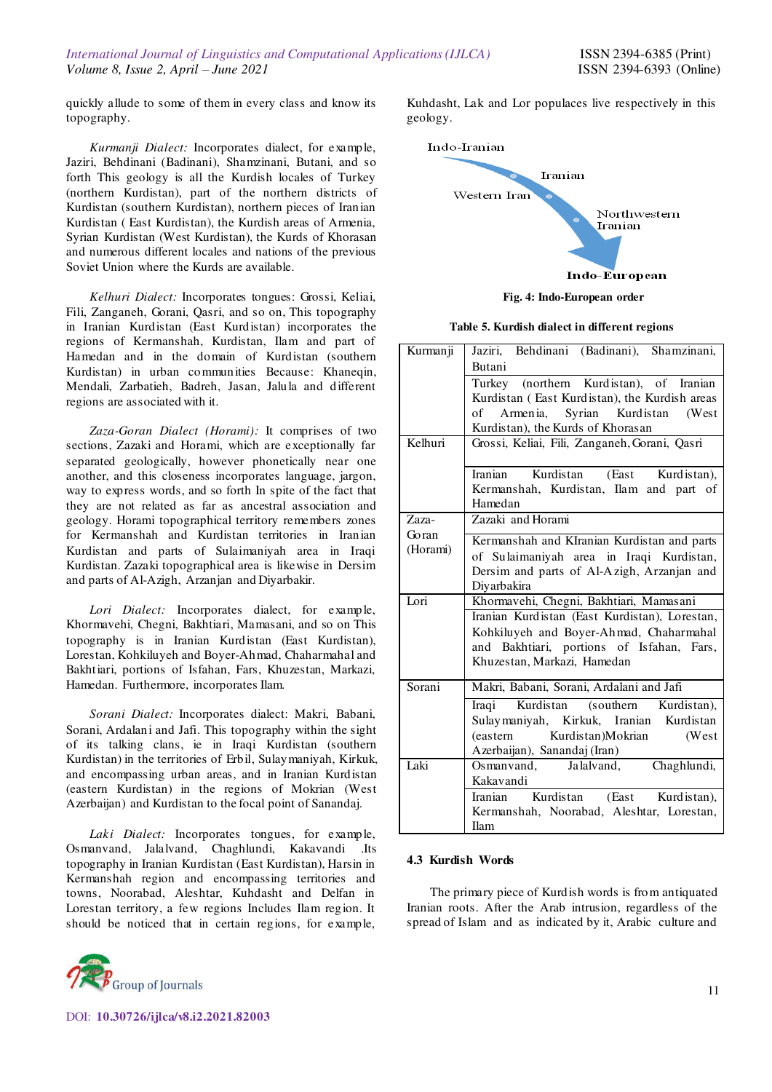quickly allude to some of them in every class and know its topography.

*Kurmanji Dialect:* Incorporates dialect, for example, Jaziri, Behdinani (Badinani), Shamzinani, Butani, and so forth This geology is all the Kurdish locales of Turkey (northern Kurdistan), part of the northern districts of Kurdistan (southern Kurdistan), northern pieces of Iranian Kurdistan ( East Kurdistan), the Kurdish areas of Armenia, Syrian Kurdistan (West Kurdistan), the Kurds of Khorasan and numerous different locales and nations of the previous Soviet Union where the Kurds are available.

*Kelhuri Dialect:* Incorporates tongues: Grossi, Keliai, Fili, Zanganeh, Gorani, Qasri, and so on, This topography in Iranian Kurdistan (East Kurdistan) incorporates the regions of Kermanshah, Kurdistan, Ilam and part of Hamedan and in the domain of Kurdistan (southern Kurdistan) in urban communities Because: Khaneqin, Mendali, Zarbatieh, Badreh, Jasan, Jalula and different regions are associated with it.

*Zaza-Goran Dialect (Horami):* It comprises of two sections, Zazaki and Horami, which are exceptionally far separated geologically, however phonetically near one another, and this closeness incorporates language, jargon, way to express words, and so forth In spite of the fact that they are not related as far as ancestral association and geology. Horami topographical territory remembers zones for Kermanshah and Kurdistan territories in Iranian Kurdistan and parts of Sulaimaniyah area in Iraqi Kurdistan. Zazaki topographical area is likewise in Dersim and parts of Al-Azigh, Arzanjan and Diyarbakir.

*Lori Dialect:* Incorporates dialect, for example, Khormavehi, Chegni, Bakhtiari, Mamasani, and so on This topography is in Iranian Kurdistan (East Kurdistan), Lorestan, Kohkiluyeh and Boyer-Ahmad, Chaharmahal and Bakhtiari, portions of Isfahan, Fars, Khuzestan, Markazi, Hamedan. Furthermore, incorporates Ilam.

*Sorani Dialect:* Incorporates dialect: Makri, Babani, Sorani, Ardalani and Jafi. This topography within the sight of its talking clans, ie in Iraqi Kurdistan (southern Kurdistan) in the territories of Erbil, Sulaymaniyah, Kirkuk, and encompassing urban areas, and in Iranian Kurdistan (eastern Kurdistan) in the regions of Mokrian (West Azerbaijan) and Kurdistan to the focal point of Sanandaj.

*Laki Dialect:* Incorporates tongues, for example, Osmanvand, Jalalvand, Chaghlundi, Kakavandi .Its topography in Iranian Kurdistan (East Kurdistan), Harsin in Kermanshah region and encompassing territories and towns, Noorabad, Aleshtar, Kuhdasht and Delfan in Lorestan territory, a few regions Includes Ilam region. It should be noticed that in certain regions, for example,



DOI: **10.30726/ijlca/v8.i2.2021.82003**

Kuhdasht, Lak and Lor populaces live respectively in this geology.



**Fig. 4: Indo-European order**

**Table 5. Kurdish dialect in different regions** 

| Kurmanji | Jaziri, Behdinani (Badinani), Shamzinani,     |
|----------|-----------------------------------------------|
|          | Butani                                        |
|          | Turkey (northern Kurdistan), of Iranian       |
|          | Kurdistan (East Kurdistan), the Kurdish areas |
|          | of Armenia, Syrian Kurdistan<br>(West)        |
|          | Kurdistan), the Kurds of Khorasan             |
| Kelhuri  | Grossi, Keliai, Fili, Zanganeh, Gorani, Qasri |
|          | Iranian<br>Kurdistan<br>(East Kurdistan),     |
|          | Kermanshah, Kurdistan, Ilam and part of       |
|          | Hamedan                                       |
| Zaza-    | Zazaki and Horami                             |
| Goran    | Kermanshah and KIranian Kurdistan and parts   |
| (Horami) | of Sulaimaniyah area in Iraqi Kurdistan,      |
|          | Dersim and parts of Al-Azigh, Arzanjan and    |
|          | Divarbakira                                   |
| Lori     | Khormavehi, Chegni, Bakhtiari, Mamasani       |
|          | Iranian Kurdistan (East Kurdistan), Lorestan, |
|          | Kohkiluyeh and Boyer-Ahmad, Chaharmahal       |
|          | and Bakhtiari, portions of Isfahan, Fars,     |
|          | Khuzestan, Markazi, Hamedan                   |
| Sorani   |                                               |
|          | Makri, Babani, Sorani, Ardalani and Jafi      |
|          | Iraqi Kurdistan (southern Kurdistan),         |
|          | Sulaymaniyah, Kirkuk, Iranian Kurdistan       |
|          | Kurdistan)Mokrian<br>(West<br>(eastern        |
|          | Azerbaijan), Sanandaj (Iran)                  |
| Laki     | Chaghlundi,<br>Osmanvand, Jalalvand,          |
|          | Kakavandi                                     |
|          | Kurdistan<br>(East Kurdistan),<br>Iranian     |
|          | Kermanshah, Noorabad, Aleshtar, Lorestan,     |
|          | Ilam                                          |

#### **4.3 Kurdish Words**

The primary piece of Kurdish words is from antiquated Iranian roots. After the Arab intrusion, regardless of the spread of Islam and as indicated by it, Arabic culture and